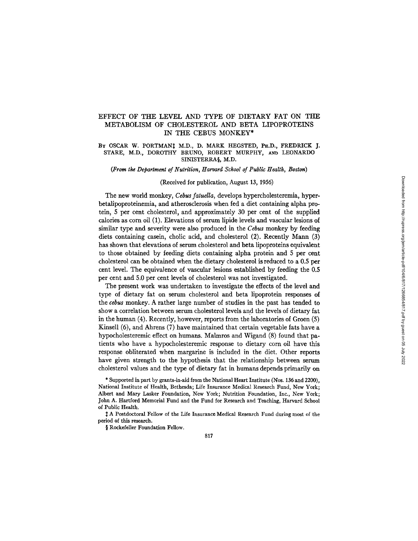# EFFECT OF THE LEVEL AND TYPE OF DIETARY FAT ON THE METABOLISM OF CHOLESTEROL AND BETA LIPOPROTEINS IN THE CEBUS MONKEY\*

## BY OSCAR W. PORTMAN<sup>t</sup> M.D., D. MARK HEGSTED, PH.D., FREDRICK J. STARE, M.D., DOROTHY BRUNO, ROBERT MURPHY, AND LEONARDO SINISTERRA§, M.D.

*(From the Department of Nutrition, Harvard School of Public Health, Boston)* 

### (Received for publication, August 13, 1956)

The new world monkey, *Cebus fatudla,* develops hypercholesteremia, hyperbetafipoproteinemia, and atherosclerosis when fed a diet containing alpha protein, 5 per cent cholesterol, and approximately 30 per cent of the supplied calories as corn oil (1). Elevations of serum lipide levels and vascular lesions of similar type and severity were also produced in the *Cebus* monkey by feeding diets containing casein, cholic acid, and cholesterol (2). Recently Mann (3) has shown that elevations of serum cholesterol and beta lipoproteins equivalent to those obtained by feeding diets containing alpha protein and 5 per cent cholesterol can be obtained when the dietary cholesterol is reduced to a 0.5 per cent level. The equivalence of vascular lesions established by feeding the 0.5 per cent and 5.0 per cent levels of cholesterol was not investigated.

The present work was undertaken to investigate the effects of the level and type of dietary fat on serum cholesterol and beta lipoprotein responses of the *cebus* monkey. A rather large number of studies in the past has tended to show a correlation between serum cholesterol levels and the levels of dietary fat in the human (4). Recently, however, reports from the laboratories of Groen (5) Kinsell (6), and Ahrens (7) have maintained that certain vegetable fats have a hypocholesteremic effect on humans. Malmros and Wigand (8) found that patients who have a hypocholesteremic response to dietary corn oil have this response obliterated when margarine is included in the diet. Other reports have given strength to the hypothesis that the relationship between serum cholesterol values and the type of dietary fat in humans depends primarily on

\* Supported in part by grants-in-aid from the National Heart Institute (Nos. 136 and 2200), National Institute of Health, Bethesda; Life Insurance Medical Research Fund, New York; Albert and Mary Lasker Foundation, New York; Nutrition Foundation, Inc., New York; John A. Hartford Memorial Fund and the Fund for Research and Teaching, Harvard School of Public Health.

 $\ddagger$  A Postdoctoral Fellow of the Life Insurance Medical Research Fund during most of the period of this research.

§ Rockefeller Foundation Fellow.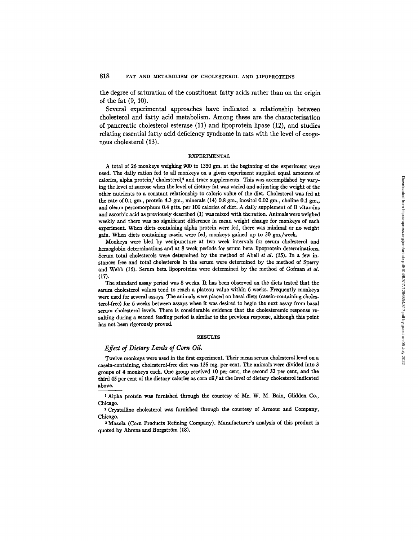the degree of saturation of the constituent fatty acids rather than on the origin of the fat (9, 10).

Several experimental approaches have indicated a relationship between cholesterol and fatty acid metabolism. Among these are the characterization of pancreatic cholesterol esterase (11) and lipoprotein lipase (12), and studies relating essential fatty acid deficiency syndrome in rats with the level of exogenous cholesterol (13).

# EXPERIMENTAL

A total of 26 monkeys weighing 900 to 1350 gm. at the beginning of the experiment were used. The daily ration fed to all monkeys on a given experiment supplied equal amounts of calories, alpha protein,<sup>1</sup> cholesterol,<sup>2</sup> and trace supplements. This was accomplished by varying the level of sucrose when the level of dietary fat was varied and adjusting the weight of the other nutrients to a constant relationship to caloric value of the diet. Cholesterol was fed at the rate of 0.1 gm., protein 4.3 gm., minerals  $(14)$  0.8 gm., inositol 0.02 gm., choline 0.1 gm. and oleum percomorphum 0.4 gtts. per 100 calories of diet. A daily supplement of B vitamins and ascorbic acid as previously described (1) was mixed with the ration. Animals were weighed weekly and there was no significant difference in mean weight change for monkeys of each experiment. When diets containing alpha protein were fed, there was minimal or no weight gain. When diets containing casein were fed, monkeys gained up to 30 gm./week.

Monkeys were bled by venipuncture at two week intervals for serum cholesterol and hemoglobin determinations and at 8 week periods for serum beta lipoprotein determinations. Serum total cholesterols were determined by the method of Abell et  $al.$  (15). In a few instances free and total cholesterols in the serum were determined by the method of Sperry and Webb (16). Serum beta lipoproteins were determined by the method of Gofman et al. (17).

The standard assay period was 8 weeks. It has been observed on the diets tested that the serum cholesterol values tend to reach a plateau value within 6 weeks. Frequently monkeys were used for several assays. The animals were placed on basal diets (casein-containing cholesterol-free) for 6 weeks between assays when it was desired to begin the next assay from basal serum cholesterol levels. There is considerable evidence that the cholesteremic response resalting during a second feeding period is similar to the previous response, although this point has not been rigorously proved.

### RESULTS

#### *Effect of Dietary Levds of Corn Oil.*

Twelve monkeys were used in the first experiment. Their mean serum cholesterol level on a casein-containing, cholesterol-free diet was 135 mg. per cent. The animals were divided into 3 groups of 4 monkeys each. One group received 10 per cent, the second 32 per cent, and the third 45 per cent of the dietary calories as corn oil,<sup>8</sup> at the level of dietary cholesterol indicated above.

1 Alpha protein was furnished through the courtesy of Mr. W. M. Bain, Glidden Co., Chicago.

s Crystalline cholesterol was furnished through the courtesy of Armour and Company, Chicago.

a Mazola (Corn Products Refining Company). Manufacturer's analysis of this product is quoted by Ahrens and Borgström (18).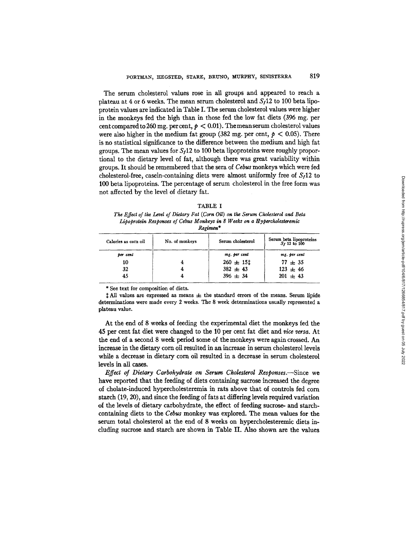The serum cholesterol values rose in all groups and appeared to reach a plateau at 4 or 6 weeks. The mean serum cholesterol and  $S_f12$  to 100 beta lipoprotein values are indicated in Table I. The serum cholesterol values were higher in the monkeys fed the high than in those fed the low fat diets (396 mg. per cent compared to 260 mg. per cent,  $p < 0.01$ ). The mean serum cholesterol values were also higher in the medium fat group (382 mg. per cent,  $p < 0.05$ ). There is no statistical significance to the difference between the medium and high fat groups. The mean values for  $S_f12$  to 100 beta lipoproteins were roughly proportional to the dietary level of fat, although there was great variability within groups. It should be remembered that the sera of *Cebus* monkeys which were fed cholesterol-free, casein-containing diets were almost uniformly free of  $S<sub>1</sub>12$  to 100 beta lipoproteins. The percentage of serum cholesterol in the free form was not affected by the level of dietary fat.

| × |  |
|---|--|
|---|--|

*The Effect of the Levd of Dietary Fat (Corn Oil) on the Serum Cholesterol and Beta Lipoprotein Responses of Cebus Monkeys in 8 Weeks on a tIypercholesteremic Regimen\** 

| Calories as corn oil | No. of monkeys | Serum cholesterol | Serum beta lipoproteins<br>$S_1$ 12 to 100 |
|----------------------|----------------|-------------------|--------------------------------------------|
| per cent             |                | mg. per cent      | mg. per cent                               |
| 10                   | 4              | $260 \pm 151$     | $77 \pm 35$                                |
| 32                   |                | $382 \pm 43$      | $123 \pm 46$                               |
| 45                   |                | $396 \pm 34$      | $201 \pm 43$                               |

\* See text for composition of diets.

 $\ddagger$  All values are expressed as means  $\pm$  the standard errors of the means. Serum lipide determinations were made every 2 weeks. The 8 week determinations usually represented a plateau value.

At the end of 8 weeks of feeding the experimental diet the monkeys fed the 45 per cent fat diet were changed to the 10 per cent fat diet and rice *versa.* At the end of a second 8 week period some of the monkeys were again crossed. An increase in the dietary corn oil resulted in an increase in serum cholesterol levels while a decrease in dietary corn oil resulted in a decrease in serum cholesterol levels in all cases.

*Effect of Dietary Carbohydrate on Serum Cholesterol Responses.--Since* we have reported that the feeding of diets containing sucrose increased the degree of eholate-induced hypercholesteremia in rats above that of controls fed corn starch (19, 20), and since the feeding of fats at differing levels required variation of the levels of dietary carbohydrate, the effect of feeding sucrose- and starchcontaining diets to the *Cebus* monkey was explored. The mean values for the serum total cholesterol at the end of 8 weeks on hypercholesteremic diets including sucrose and starch are shown in Table II. Also shown are the values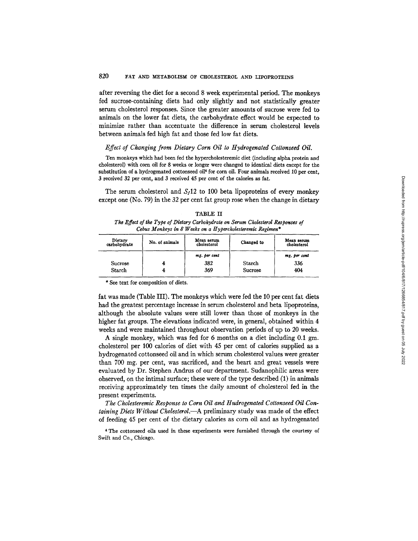after reversing the diet for a second 8 week experimental period. The monkeys fed sucrose-containing diets had only slightly and not statistically greater serum cholesterol responses. Since the greater amounts of sucrose were fed to animals on the lower fat diets, the carbohydrate effect would be expected to minimize rather than accentuate the difference in serum cholesterol levels between animals fed high fat and those fed low fat diets.

## *Effect of Changing from Dietary Corn Oil to Hydrogenated Cottonseed Oil.*

Ten monkeys which had been fed the hypercholesteremic diet (including alpha protein and cholesterol) with corn oil for 8 weeks or longer were changed to identical diets except for the substitution of a hydrogenated cottonseed oil<sup>4</sup> for corn oil. Four animals received 10 per cent, 3 received 32 per cent, and 3 received 45 per cent of the calories as fat.

The serum cholesterol and  $S_f12$  to 100 beta lipoproteins of every monkey except one (No. 79) in the 32 per cent fat group rose when the change in dietary

| TABLE II                                                                         |
|----------------------------------------------------------------------------------|
| The Effect of the Type of Dietary Carbohydrate on Serum Cholesterol Responses of |
| Cebus Monkeys in 8 Weeks on a Hypercholesteremic Regimen*                        |

| Dietary<br>carbohydrate | No. of animals | Mean serum<br>cholesterol | Changed to | Mean serum<br>cholesterol |
|-------------------------|----------------|---------------------------|------------|---------------------------|
|                         |                | mg. per cent              |            | mg. per cent              |
| Sucrose                 |                | 382                       | Starch     | 336                       |
| Starch                  |                | 369                       | Sucrose    | 404                       |

\* See text for composition of diets.

fat was made (Table HI). The monkeys which were fed the 10 per cent fat diets had the greatest percentage increase in serum cholesterol and beta lipoproteins, although the absolute values were still lower than those of monkeys in the higher fat groups. The elevations indicated were, in general, obtained within 4 weeks and were maintained throughout observation periods of up to 20 weeks.

A single monkey, which was fed for 6 months on a diet including 0.1 gm. cholesterol per 100 calories of diet with 45 per cent of calories supplied as a hydrogenated cottonseed oil and in which serum cholesterol values were greater than 700 mg. per cent, was sacrificed, and the heart and great vessels were evaluated by Dr. Stephen Andrus of our department. Sudanophilic areas were observed, on the intimal surface; these were of the type described (1) in animals receiving approximately ten times the daily amount of cholesterol fed in the present experiments.

*The Cholesteremic Response to Corn Oil and Hudrogenated Cottonseed Oil Containing Diets Without Cholesterol.--A* preliminary study was made of the effect of feeding 45 per cent of the dietary calories as corn oil and as hydrogenated

\* The cottonseed oils used in these experiments were furnished through the courtesy of Swift and Co., Chicago.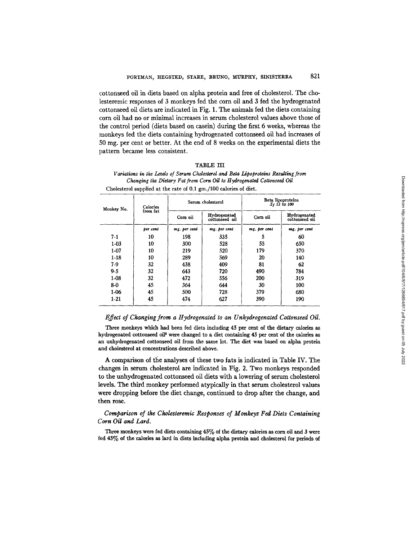cottonseed oil in diets based on alpha protein and free of cholesterol. The cholesteremic responses of 3 monkeys fed the corn oil and 3 fed the hydrogenated cottonseed oil diets are indicated in Fig. 1. The animals fed the diets containing corn oil had no or minimal increases in serum cholesterol values above those of the control period (diets based on casein) during the first 6 weeks, whereas the monkeys fed the diets containing hydrogenated cottonseed oil had increases of 50 mg. per cent or better. At the end of 8 weeks on the experimental diets the pattern became less consistent.

## TABLE III

| Variations in the Levels of Serum Cholesterol and Beta Lipoproteins Resulting from |
|------------------------------------------------------------------------------------|
| Changing the Dietary Fat from Corn Oil to Hydrogenated Cottonseed Oil              |
| Cholesterol supplied at the rate of 0.1 gm./100 calories of diet.                  |

| Monkey No. | Calories<br>from fat | Serum cholesterol |                                | Beta lipoproteins<br>$S_f$ 12 to 100 |                                |
|------------|----------------------|-------------------|--------------------------------|--------------------------------------|--------------------------------|
|            |                      | Corn oil          | Hydrogenated<br>cottonseed oil | Corn oil                             | Hydrogenated<br>cottonseed oil |
|            | per cent             | mg. per cent      | mg. per cent                   | mg. per cent                         | mg. per cent                   |
| $7 - 1$    | 10                   | 198               | 335                            | 5                                    | 60                             |
| $1 - 03$   | 10                   | 300               | 528                            | 55                                   | 650                            |
| $1-07$     | 10                   | 219               | 520                            | 179                                  | 370                            |
| $1-18$     | 10                   | 289               | 569                            | 20                                   | 140                            |
| 7.9        | 32                   | 438               | 409                            | 81                                   | 62                             |
| $9 - 5$    | 32                   | 643               | 720                            | 490                                  | 784                            |
| $1 - 08$   | 32                   | 472               | 556                            | 200                                  | 319                            |
| 8-0        | 45                   | 364               | 644                            | 30                                   | 100                            |
| 1-06       | 45                   | 500               | 728                            | 379                                  | 680                            |
| $1 - 21$   | 45                   | 474               | 627                            | 390                                  | 190                            |

### *Effect of Changing from a Hydrogenated to an Unhydrogenated Cottonseed Oil.*

Three monkeys which had been fed diets including 45 per cent of the dietary calories as hydrogenated cottonseed oil<sup>4</sup> were changed to a diet containing 45 per cent of the calories as an unhydrogenated cottonseed oil from the same lot. The diet was based on alpha protein and cholesterol at concentrations described above.

A comparison of the analyses of these two fats is indicated in Table IV. The changes in serum cholesterol are indicated in Fig. 2. Two monkeys responded to the unhydrogenated cottonseed oil diets with a lowering of serum cholesterol levels. The third monkey performed atypically in that serum cholesterol values were dropping before the diet change, continued to drop after the change, and then rose.

# *Comparison of the Cholesteremic Responses of Monkeys Fed Diets Containing Corn Oil and Lard.*

Three monkeys were fed diets containing 45% of the dietary calories as corn oil and 3 were fed 45% of the calories as lard in diets including alpha protein and cholesterol for periods of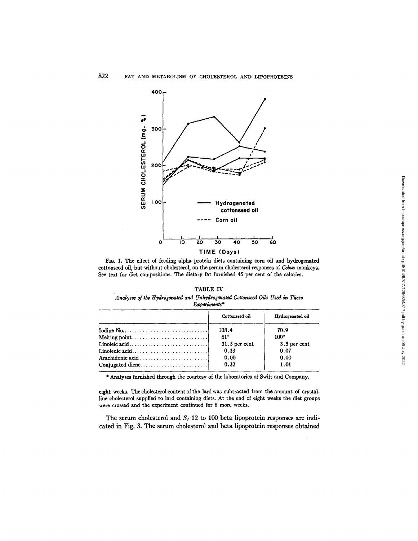

FIG. 1. The effect of feeding alpha protein diets containing corn oil and hydrogenated cottonseed oil, but without cholesterol, on the serum cholesterol responses of Cebus monkeys. See text for diet compositions. The dietary fat furnished 45 per cent of the calories.

# TABLE IV

### Analyses of the Hydrogenated and Unhydrogenated Cottonseed Oils Used in These Experiments\*

|                                                                                         | Cottonseed oil  | Hydrogenated oil |
|-----------------------------------------------------------------------------------------|-----------------|------------------|
| Iodine No. $\ldots$ . $\ldots$ . $\ldots$ . $\ldots$ . $\ldots$ . $\ldots$ . $\ldots$ . | 108.4           | 70.9             |
|                                                                                         | $61^{\circ}$    | $100^{\circ}$    |
|                                                                                         | $31.5$ per cent | $3.5$ per cent   |
| Linolenic acid                                                                          | 0.33            | 0.07             |
|                                                                                         | 0.00            | 0.00             |
| Conjugated diene                                                                        | 0.32            | 1.01             |

\* Analyses furnished through the courtesy of the laboratories of Swift and Company.

eight weeks. The cholesterol content of the lard was subtracted from the amount of crystalline cholesterol supplied to lard containing diets. At the end of eight weeks the diet groups were crossed and the experiment continued for 8 more weeks.

The serum cholesterol and  $S_f$  12 to 100 beta lipoprotein responses are indicated in Fig. 3. The serum cholesterol and beta lipoprotein responses obtained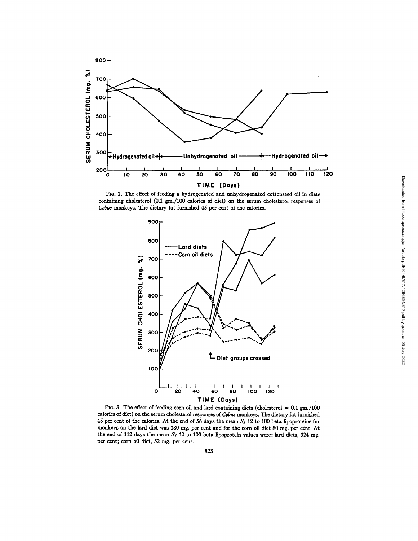

FIG. 2. The effect of feeding a hydrogenated and unhydrogenated cottonseed oil in diets containing cholesterol (0.1 gm./100 calories of diet) on the serum cholesterol responses of Cebus monkeys. The dietary fat furnished 45 per cent of the calories.



FIG. 3. The effect of feeding corn oil and lard containing diets (cholesterol =  $0.1 \text{ gm.}/100$ calories of diet) on the serum cholesterol responses of Cebus monkeys. The dietary fat furnished 45 per cent of the calories. At the end of 56 days the mean  $S_f$  12 to 100 beta lipoproteins for monkeys on the lard diet was 180 mg. per cent and for the corn oil diet 80 mg. per cent. At the end of 112 days the mean  $S_f$  12 to 100 beta lipoprotein values were: lard diets, 324 mg. per cent; corn oil diet, 52 mg. per cent.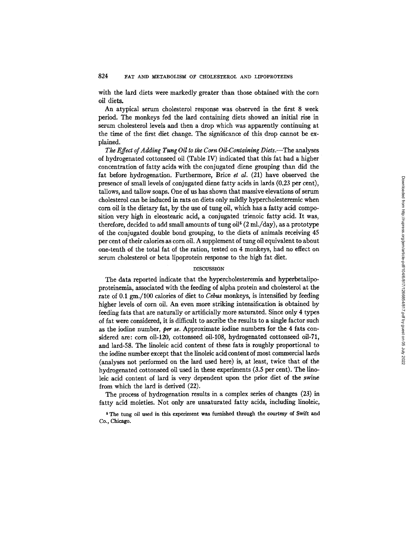## 824 FAT AND METABOLISM OF CHOLESTEROL AND LIPOPROTEINS

with the lard diets were markedly greater than those obtained with the corn oil diets.

An atypical serum cholesterol response was observed in the first 8 week period. The monkeys fed the lard containing diets showed an initial rise in serum cholesterol levels and then a drop which was apparently continuing at the time of the first diet change. The significance of this drop cannot be explained.

*The Effect of Adding Tung Oil to the Corn Oil-Containing Diets.--The* analyses of hydrogenated cottonseed oil (Table IV) indicated that this fat had a higher concentration of fatty acids with the conjugated diene grouping than did the fat before hydrogenation. Furthermore, Brice *et al.* (21) have observed the presence of small levels of conjugated diene fatty acids in lards (0.23 per cent), tallows, and tallow soaps. One of us has shown that massive elevations of serum cholesterol can be induced in rats on diets only mildly hypercholesteremic when corn oil is the dietary fat, by the use of tung oil, which has a fatty acid composition very high in eleostearic acid, a conjugated trienoic fatty acid. It was, therefore, decided to add small amounts of tung oil<sup> $5$ </sup> (2 ml./day), as a prototype of the conjugated double bond grouping, to the diets of animals receiving 45 per cent of their calories as corn oil. A supplement of tung oil equivalent to about one-tenth of the total fat of the ration, tested on 4 monkeys, had no effect on serum cholesterol or beta lipoprotein response to the high fat diet.

### DISCUSSION

The data reported indicate that the hypercholesteremia and hyperbetalipoproteinemia, associated with the feeding of alpha protein and cholesterol at the rate of 0.1 gm./100 calories of diet to *Cebus* monkeys, is intensified by feeding higher levels of corn oil. An even more striking intensification is obtained by feeding fats that are naturally or artificially more saturated. Since only 4 types of fat were considered, it is difficult to ascribe the results to a single factor such as the iodine number, *per se.* Approximate iodine numbers for the 4 fats considered are: corn oi1-120, cottonseed oi1-108, hydrogenated cottonseed oil-71, and lard-58. The linoleic acid content of these fats is roughly proportional to the iodine number except that the linoleic acid content of most commercial lards (analyses not performed on the lard used here) is, at least, twice that of the hydrogenated cottonseed oil used in these experiments (3.5 per cent). The linoleic acid content of lard is very dependent upon the prior diet of the swine from which the lard is derived (22).

The process of hydrogenation results in a complex series of changes (23) in fatty acid moieties. Not only are unsaturated fatty acids, including linoleic,

<sup>5</sup> The tung oil used in this experiment was furnished through the courtesy of Swift and Co., Chicago.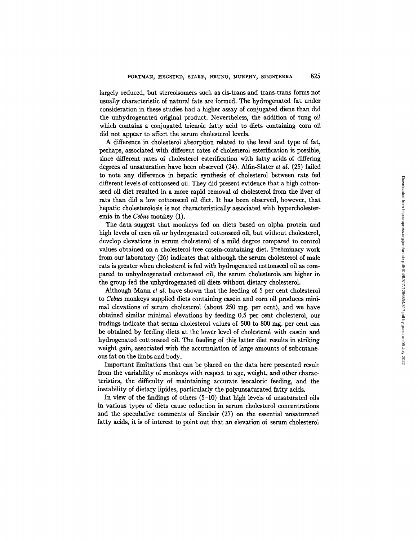largely reduced, but stereoisomers such as cis-trans and trans-trans forms not usually characteristic of natural fats are formed. The hydrogenated fat under consideration in these studies had a higher assay of conjugated diene than did the unhydrogenated original product. Nevertheless, the addition of tung oil which contains a conjugated trienoic fatty acid to diets containing corn oil did not appear to affect the serum cholesterol levels.

A difference in cholesterol absorption related to the level and type of fat, perhaps, associated with different rates of cholesterol esterification is possible, since different rates of cholesterol esterification with fatty acids of differing degrees of unsaturation have been observed (24). Alfin-Slater *et al.* (25) failed to note any difference in hepatic synthesis of cholesterol between rats fed different levels of cottonseed oil. They did present evidence that a high cottonseed oil diet resulted in a more rapid removal of cholesterol from the liver of rats than did a low cottonseed oil diet. It has been observed, however, that hepatic cholesterolosis is not characteristically associated with hypercholesteremia in the *Cebus* monkey (1).

The data suggest that monkeys fed on diets based on alpha protein and high levels of corn oil or hydrogenated cottonseed oil, but without cholesterol, develop elevations in serum cholesterol of a mild degree compared to control values obtained on a cholesterol-free casein-containing diet. Preliminary work from our laboratory (26) indicates that although the serum cholesterol of male rats is greater when cholesterol is fed with hydrogenated cottonseed oil as compared to unhydrogenated cottonseed oil, the serum cholesterols are higher in the group fed the unhydrogenated oil diets without dietary cholesterol.

Although Mann *et al.* have shown that the feeding of 5 per cent cholesterol to *Cebus* monkeys supplied diets containing casein and corn oil produces minimal elevations of serum cholesterol (about 250 mg. per cent), and we have obtained similar minimal elevations by feeding 0.5 per cent cholesterol, our findings indicate that serum cholesterol values of 500 to 800 mg. per cent can be obtained by feeding diets at the lower level of cholesterol with casein and hydrogenated cottonseed oil. The feeding of this latter diet results in striking weight gain, associated with the accumulation of large amounts of subcutaneous fat on the limbs and body.

Important limitations that can be placed on the data here presented result from the variability of monkeys with respect to age, weight, and other characteristics, the difficulty of maintaining accurate isocaloric feeding, and the instability of dietary lipides, particularly the polyunsaturated fatty acids.

In view of the findings of others (5-10) that high levels of unsaturated oils in various types of diets cause reduction in serum cholesterol concentrations and the speculative comments of Sinclair (27) on the essential unsaturated fatty acids, it is of interest to point out that an elevation of serum cholesterol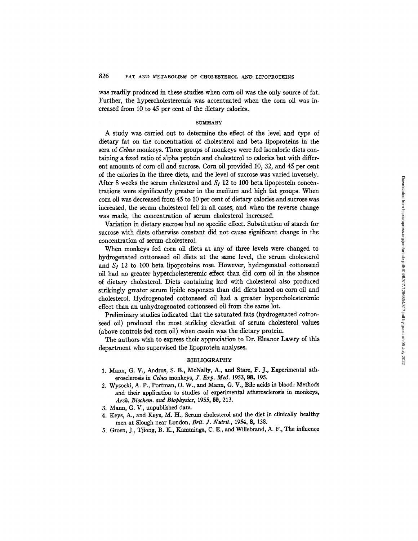was readily produced in these studies when corn oil was the only source of fat. Further, the hypercholesteremia was accentuated when the corn oil was increased from 10 to 45 per cent of the dietary calories.

#### SUMMARY

A study was carried out to determine the effect of the level and type of dietary fat on the concentration of cholesterol and beta lipoproteins in the sera of *Cebus* monkeys. Three groups of monkeys were fed isocaloric diets containing a fixed ratio of alpha protein and cholesterol to calories but with different amounts of corn oil and sucrose. Corn oil provided 10, 32, and 45 per cent of the calories in the three diets, and the level of sucrose was varied inversely. After 8 weeks the serum cholesterol and  $S_t$  12 to 100 beta lipoprotein concentrations were significantly greater in the medium and high fat groups. When corn oil was decreased from 45 to 10 per cent of dietary calories and sucrose was increased, the serum cholesterol fell in all cases, and when the reverse change was made, the concentration of serum cholesterol increased.

Variation in dietary sucrose had no specific effect. Substitution of starch for sucrose with diets otherwise constant did not cause significant change in the concentration of serum cholesterol.

When monkeys fed corn oil diets at any of three levels were changed to hydrogenated cottonseed oil diets at the same level, the serum cholesterol and  $S<sub>t</sub>$  12 to 100 beta lipoproteins rose. However, hydrogenated cottonseed oil had no greater hypercholesteremic effect than did corn oil in the absence of dietary cholesterol. Diets containing lard with cholesterol also produced strikingly greater serum lipide responses than did diets based on corn oil and cholesterol. Hydrogenated cottonseed oil had a greater hypercholesteremic effect than an unhydrogenated cottonseed oil from the same lot.

Preliminary studies indicated that the saturated fats (hydrogenated cottonseed oil) produced the most striking elevation of serum cholesterol values (above controls fed corn oil) when casein was the dietary protein.

The authors wish to express their appreciation to Dr. Eleanor Lawry of this department who supervised the lipoprotein analyses.

### BIBLIOGRAPHY

- 1. Mann, G. V., Andrus, S. B., McNally, A., and Stare, F. J., Experimental atherosclerosis in Cebus monkeys, *J. Exp. Meg.* 1953, 98, 195.
- 2. Wysocki, A. P., Portman, O. W., and *Mann,* G. V., Bile acids in blood: Methods and their application to studies of experimental atherosclerosis in monkeys, *Arch. Biochem. and Biophysics,* 1955, 59, 213.
- 3. Mann, G. V., unpublished data.
- 4. Keys, *A.,* and Keys, M. H., Serum cholesterol and the diet in clinically healthy men at Slough near London, *Brit. J. Nutrit.,* 1954, 8, 138.
- 5. Groen, J., Tjiong, B. K., Kamminga, C. E., and Willebrand, A. F., The influence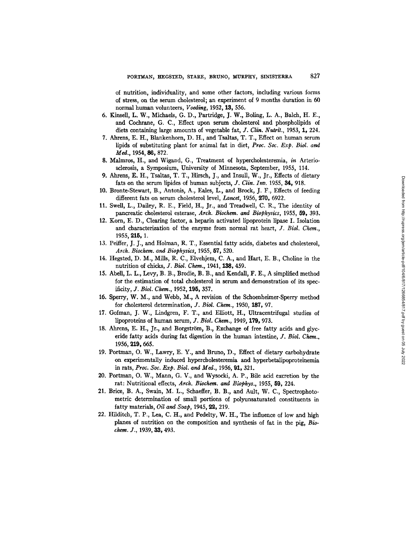of nutrition, individuality, and some other factors, including various forms of stress, on the serum cholesterol; an experiment of 9 months duration in 60 normal human volunteers, *Voeding,* 1952, 13, 556.

- 6. Kinsell, L. W., Michaels, G. D., Partridge, J. W., Boling, L. A., Balch, H. E., and Cochrane, G. C., Effect upon serum cholesterol and phospholipids of diets containing large amounts of vegetable fat, *J. Clin. Nutrit.,* 1953, 1, 224.
- 7. Ahrens, E. H., Blankenhom, D. H., and Tsaltas, T. T., Effect on human serum lipids of substituting plant for animal fat in diet, Proc. *Soc. Exp. Biol. and*  Med., 1954, 86, 872.
- 8. Malmros, H., and Wigand, G., Treatment of hypercholesteremia, *in* Arteriosclerosis, a Symposium, University of Minnesota, September, 1955, 114.
- 9. Ahrens, E. H., Tsaltas, T. T., Hirsch, J., and Insull, W., Jr., Effects of dietary fats on the serum lipides of human subjects, *J. Clin. Inv.* 1955, 34, 918.
- 10. Bronte-Stewart, B., Antonis, A., Eales, L., and Brock, J. F., Effects of feeding different fats on serum cholesterol level, *Lancet*, 1956, 270, 6922.
- 11. Swell, L., Dailey, R. E., Field, H., Jr., and Treadwell, C. R., The identity of pancreatic cholesterol esterase, *Arch. Biochem. and Biophysics,* 1955, **fi9,** 393.
- 12. Korn, E. D., Clearing factor, a hepaxin activated lipoprotein lipase I. Isolation and characterization of the enzyme from normal rat heart, *]. Biol. Chem.,*  1955, 215, 1.
- 13. Peiffer, J. J., and Holman, R. T., Essential fatty acids, diabetes and cholesterol, *Arch. Biochem. and Biophysics,* 1955, 57, 520.
- 14. Hegsted, D. M., Mills, R. C., Elvehjem, C. A., and Hart, E. B., Choline in the nutrition of chicks, *J. Biol. Chem.,* 1941, 138, 459.
- 15. Abell, L. L., Levy, B. B., Brodie, B. B., and Kendall, F. E., A simplified method for the estimation of total cholesterol in serum and demonstration of its specificity, *]. Biol. Chem.,* 1952, 195, 357.
- 16. Sperry, W. M., and Webb, M., A revision of the Schoenheimer-Sperry method for cholesterol determination, *J. Biol. Chem.,* 1950, 187, 97.
- 17. Gofman, J. W., Lindgren, F. T., and Elliott, H., Ultracentrifugal studies of lipoproteins of human serum, *J. Biol. Chem.*, 1949, 179, 973.
- 18. Ahrens, E. H., Jr., and Borgström, B., Exchange of free fatty acids and glyceride fatty acids during fat digestion in the human intestine, J. *Biol. Chem.,*  1956, 219, 665.
- 19. Portman, O. W., Lawry, E. Y., and Bruno, D., Effect of dietary carbohydrate on experimentally induced hypercholesteremia and hyperbetalipoproteinemia in rats, *Proc. Soc. Exp. Biol. and Med.,* 1956, 91, 321.
- 20. Portman, O. W., Mann, G. V., and Wysocki, A. P., Bile acid excretion by the rat: Nutritional effects, *Arch. Biochem. and Biophys.,* 1955, 89, 224.
- 21. Brice, B. A., Swain, M. L., Schaeffer, B. B., and Ault, W. C., Spectrophotometric determination of small portions of polyunsaturated constituents in fatty materials, *Oil and Soap,* 1945, 22, 219.
- *22.* Hilditch, T. P., Lea, C. H., and Pedelty, W. H., The influence of low and high planes of nutrition on the composition and synthesis of fat in the pig, *Biochem. J.,* 1939, 33, 493.